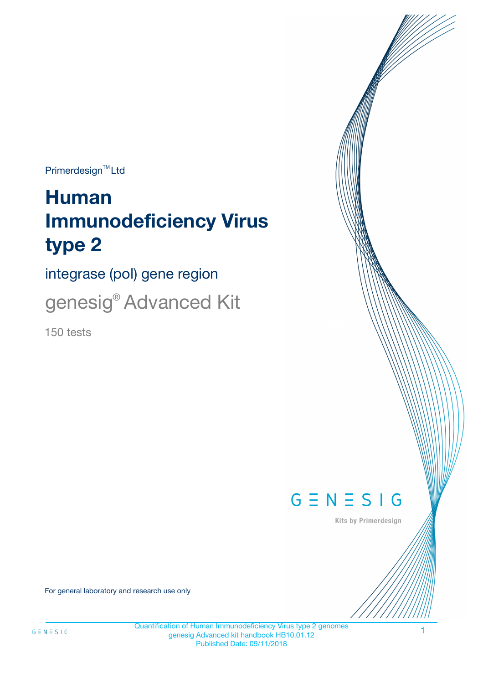$Primerdesign^{\text{TM}}Ltd$ 

# **Human Immunodeficiency Virus type 2**

integrase (pol) gene region

genesig<sup>®</sup> Advanced Kit

150 tests



Kits by Primerdesign

For general laboratory and research use only

Quantification of Human Immunodeficiency Virus type 2 genomes genesig Advanced kit handbook HB10.01.12 Published Date: 09/11/2018

1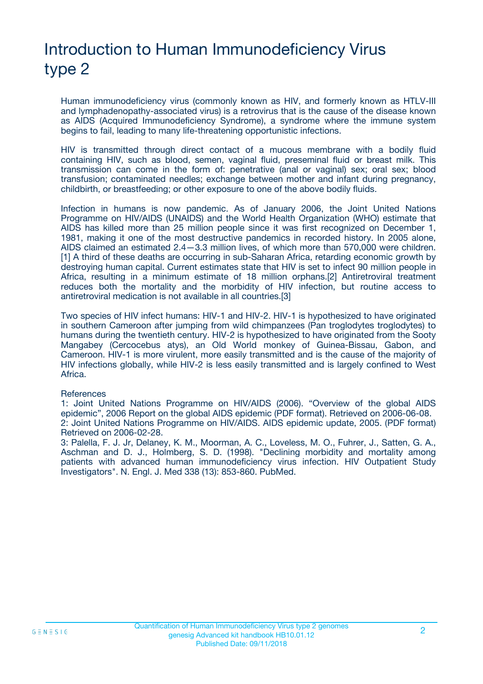# Introduction to Human Immunodeficiency Virus type 2

Human immunodeficiency virus (commonly known as HIV, and formerly known as HTLV-III and lymphadenopathy-associated virus) is a retrovirus that is the cause of the disease known as AIDS (Acquired Immunodeficiency Syndrome), a syndrome where the immune system begins to fail, leading to many life-threatening opportunistic infections.

HIV is transmitted through direct contact of a mucous membrane with a bodily fluid containing HIV, such as blood, semen, vaginal fluid, preseminal fluid or breast milk. This transmission can come in the form of: penetrative (anal or vaginal) sex; oral sex; blood transfusion; contaminated needles; exchange between mother and infant during pregnancy, childbirth, or breastfeeding; or other exposure to one of the above bodily fluids.

Infection in humans is now pandemic. As of January 2006, the Joint United Nations Programme on HIV/AIDS (UNAIDS) and the World Health Organization (WHO) estimate that AIDS has killed more than 25 million people since it was first recognized on December 1, 1981, making it one of the most destructive pandemics in recorded history. In 2005 alone, AIDS claimed an estimated 2.4—3.3 million lives, of which more than 570,000 were children. [1] A third of these deaths are occurring in sub-Saharan Africa, retarding economic growth by destroying human capital. Current estimates state that HIV is set to infect 90 million people in Africa, resulting in a minimum estimate of 18 million orphans.[2] Antiretroviral treatment reduces both the mortality and the morbidity of HIV infection, but routine access to antiretroviral medication is not available in all countries.[3]

Two species of HIV infect humans: HIV-1 and HIV-2. HIV-1 is hypothesized to have originated in southern Cameroon after jumping from wild chimpanzees (Pan troglodytes troglodytes) to humans during the twentieth century. HIV-2 is hypothesized to have originated from the Sooty Mangabey (Cercocebus atys), an Old World monkey of Guinea-Bissau, Gabon, and Cameroon. HIV-1 is more virulent, more easily transmitted and is the cause of the majority of HIV infections globally, while HIV-2 is less easily transmitted and is largely confined to West Africa.

#### **References**

1: Joint United Nations Programme on HIV/AIDS (2006). "Overview of the global AIDS epidemic", 2006 Report on the global AIDS epidemic (PDF format). Retrieved on 2006-06-08. 2: Joint United Nations Programme on HIV/AIDS. AIDS epidemic update, 2005. (PDF format) Retrieved on 2006-02-28.

3: Palella, F. J. Jr, Delaney, K. M., Moorman, A. C., Loveless, M. O., Fuhrer, J., Satten, G. A., Aschman and D. J., Holmberg, S. D. (1998). "Declining morbidity and mortality among patients with advanced human immunodeficiency virus infection. HIV Outpatient Study Investigators". N. Engl. J. Med 338 (13): 853-860. PubMed.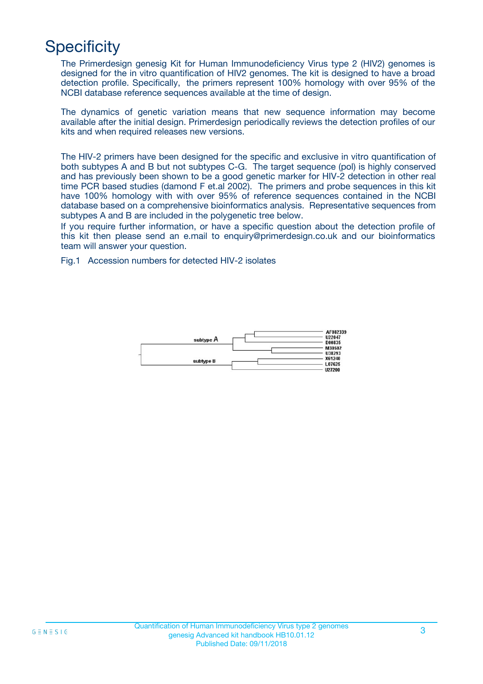# **Specificity**

The Primerdesign genesig Kit for Human Immunodeficiency Virus type 2 (HIV2) genomes is designed for the in vitro quantification of HIV2 genomes. The kit is designed to have a broad detection profile. Specifically, the primers represent 100% homology with over 95% of the NCBI database reference sequences available at the time of design.

The dynamics of genetic variation means that new sequence information may become available after the initial design. Primerdesign periodically reviews the detection profiles of our kits and when required releases new versions.

The HIV-2 primers have been designed for the specific and exclusive in vitro quantification of both subtypes A and B but not subtypes C-G. The target sequence (pol) is highly conserved and has previously been shown to be a good genetic marker for HIV-2 detection in other real time PCR based studies (damond F et.al 2002). The primers and probe sequences in this kit have 100% homology with with over 95% of reference sequences contained in the NCBI database based on a comprehensive bioinformatics analysis. Representative sequences from subtypes A and B are included in the polygenetic tree below.

If you require further information, or have a specific question about the detection profile of this kit then please send an e.mail to enquiry@primerdesign.co.uk and our bioinformatics team will answer your question.

Fig.1 Accession numbers for detected HIV-2 isolates

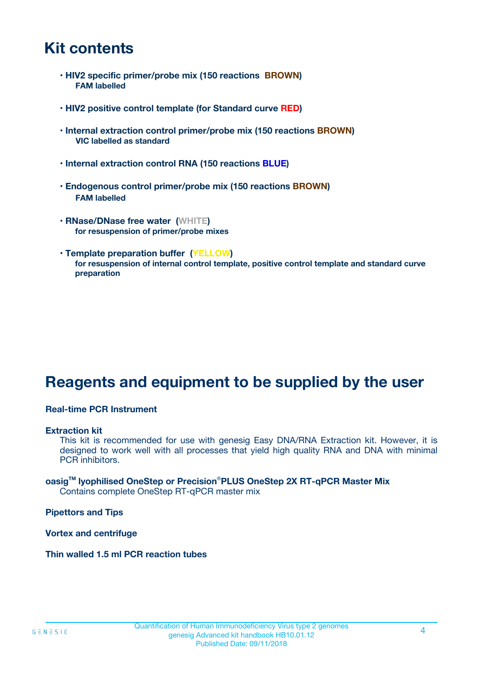# **Kit contents**

- **HIV2 specific primer/probe mix (150 reactions BROWN) FAM labelled**
- **HIV2 positive control template (for Standard curve RED)**
- **Internal extraction control primer/probe mix (150 reactions BROWN) VIC labelled as standard**
- **Internal extraction control RNA (150 reactions BLUE)**
- **Endogenous control primer/probe mix (150 reactions BROWN) FAM labelled**
- **RNase/DNase free water (WHITE) for resuspension of primer/probe mixes**
- **Template preparation buffer (YELLOW) for resuspension of internal control template, positive control template and standard curve preparation**

# **Reagents and equipment to be supplied by the user**

#### **Real-time PCR Instrument**

#### **Extraction kit**

This kit is recommended for use with genesig Easy DNA/RNA Extraction kit. However, it is designed to work well with all processes that yield high quality RNA and DNA with minimal PCR inhibitors.

#### **oasigTM lyophilised OneStep or Precision**®**PLUS OneStep 2X RT-qPCR Master Mix** Contains complete OneStep RT-qPCR master mix

**Pipettors and Tips**

**Vortex and centrifuge**

**Thin walled 1.5 ml PCR reaction tubes**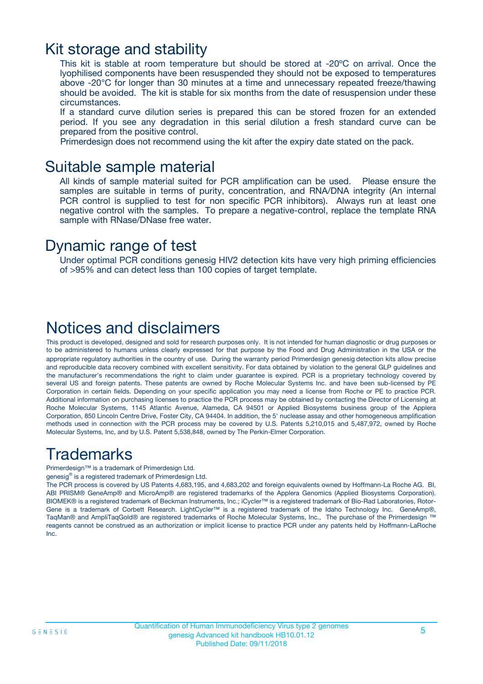### Kit storage and stability

This kit is stable at room temperature but should be stored at -20ºC on arrival. Once the lyophilised components have been resuspended they should not be exposed to temperatures above -20°C for longer than 30 minutes at a time and unnecessary repeated freeze/thawing should be avoided. The kit is stable for six months from the date of resuspension under these circumstances.

If a standard curve dilution series is prepared this can be stored frozen for an extended period. If you see any degradation in this serial dilution a fresh standard curve can be prepared from the positive control.

Primerdesign does not recommend using the kit after the expiry date stated on the pack.

### Suitable sample material

All kinds of sample material suited for PCR amplification can be used. Please ensure the samples are suitable in terms of purity, concentration, and RNA/DNA integrity (An internal PCR control is supplied to test for non specific PCR inhibitors). Always run at least one negative control with the samples. To prepare a negative-control, replace the template RNA sample with RNase/DNase free water.

### Dynamic range of test

Under optimal PCR conditions genesig HIV2 detection kits have very high priming efficiencies of >95% and can detect less than 100 copies of target template.

### Notices and disclaimers

This product is developed, designed and sold for research purposes only. It is not intended for human diagnostic or drug purposes or to be administered to humans unless clearly expressed for that purpose by the Food and Drug Administration in the USA or the appropriate regulatory authorities in the country of use. During the warranty period Primerdesign genesig detection kits allow precise and reproducible data recovery combined with excellent sensitivity. For data obtained by violation to the general GLP guidelines and the manufacturer's recommendations the right to claim under guarantee is expired. PCR is a proprietary technology covered by several US and foreign patents. These patents are owned by Roche Molecular Systems Inc. and have been sub-licensed by PE Corporation in certain fields. Depending on your specific application you may need a license from Roche or PE to practice PCR. Additional information on purchasing licenses to practice the PCR process may be obtained by contacting the Director of Licensing at Roche Molecular Systems, 1145 Atlantic Avenue, Alameda, CA 94501 or Applied Biosystems business group of the Applera Corporation, 850 Lincoln Centre Drive, Foster City, CA 94404. In addition, the 5' nuclease assay and other homogeneous amplification methods used in connection with the PCR process may be covered by U.S. Patents 5,210,015 and 5,487,972, owned by Roche Molecular Systems, Inc, and by U.S. Patent 5,538,848, owned by The Perkin-Elmer Corporation.

# Trademarks

Primerdesign™ is a trademark of Primerdesign Ltd.

genesig® is a registered trademark of Primerdesign Ltd.

The PCR process is covered by US Patents 4,683,195, and 4,683,202 and foreign equivalents owned by Hoffmann-La Roche AG. BI, ABI PRISM® GeneAmp® and MicroAmp® are registered trademarks of the Applera Genomics (Applied Biosystems Corporation). BIOMEK® is a registered trademark of Beckman Instruments, Inc.; iCycler™ is a registered trademark of Bio-Rad Laboratories, Rotor-Gene is a trademark of Corbett Research. LightCycler™ is a registered trademark of the Idaho Technology Inc. GeneAmp®, TaqMan® and AmpliTaqGold® are registered trademarks of Roche Molecular Systems, Inc., The purchase of the Primerdesign ™ reagents cannot be construed as an authorization or implicit license to practice PCR under any patents held by Hoffmann-LaRoche Inc.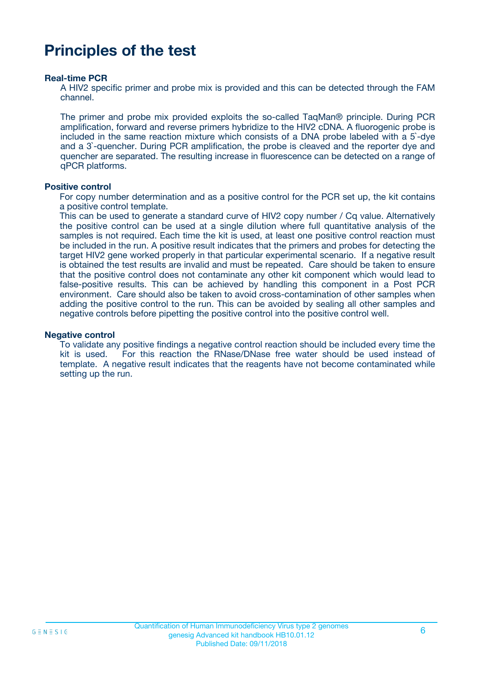# **Principles of the test**

#### **Real-time PCR**

A HIV2 specific primer and probe mix is provided and this can be detected through the FAM channel.

The primer and probe mix provided exploits the so-called TaqMan® principle. During PCR amplification, forward and reverse primers hybridize to the HIV2 cDNA. A fluorogenic probe is included in the same reaction mixture which consists of a DNA probe labeled with a 5`-dye and a 3`-quencher. During PCR amplification, the probe is cleaved and the reporter dye and quencher are separated. The resulting increase in fluorescence can be detected on a range of qPCR platforms.

#### **Positive control**

For copy number determination and as a positive control for the PCR set up, the kit contains a positive control template.

This can be used to generate a standard curve of HIV2 copy number / Cq value. Alternatively the positive control can be used at a single dilution where full quantitative analysis of the samples is not required. Each time the kit is used, at least one positive control reaction must be included in the run. A positive result indicates that the primers and probes for detecting the target HIV2 gene worked properly in that particular experimental scenario. If a negative result is obtained the test results are invalid and must be repeated. Care should be taken to ensure that the positive control does not contaminate any other kit component which would lead to false-positive results. This can be achieved by handling this component in a Post PCR environment. Care should also be taken to avoid cross-contamination of other samples when adding the positive control to the run. This can be avoided by sealing all other samples and negative controls before pipetting the positive control into the positive control well.

#### **Negative control**

To validate any positive findings a negative control reaction should be included every time the kit is used. For this reaction the RNase/DNase free water should be used instead of template. A negative result indicates that the reagents have not become contaminated while setting up the run.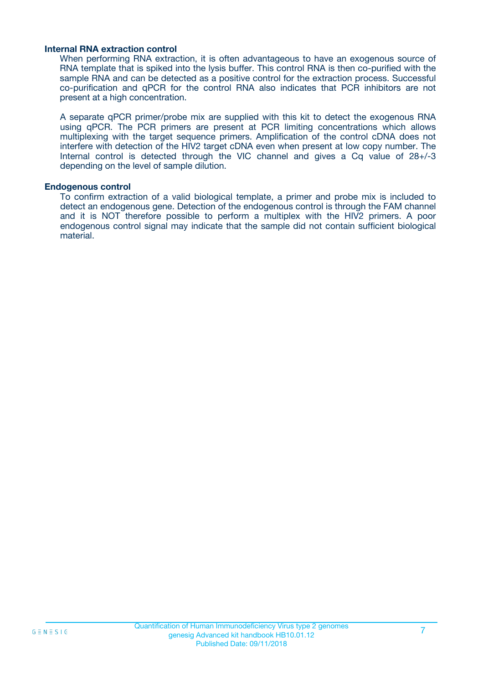#### **Internal RNA extraction control**

When performing RNA extraction, it is often advantageous to have an exogenous source of RNA template that is spiked into the lysis buffer. This control RNA is then co-purified with the sample RNA and can be detected as a positive control for the extraction process. Successful co-purification and qPCR for the control RNA also indicates that PCR inhibitors are not present at a high concentration.

A separate qPCR primer/probe mix are supplied with this kit to detect the exogenous RNA using qPCR. The PCR primers are present at PCR limiting concentrations which allows multiplexing with the target sequence primers. Amplification of the control cDNA does not interfere with detection of the HIV2 target cDNA even when present at low copy number. The Internal control is detected through the VIC channel and gives a Cq value of 28+/-3 depending on the level of sample dilution.

#### **Endogenous control**

To confirm extraction of a valid biological template, a primer and probe mix is included to detect an endogenous gene. Detection of the endogenous control is through the FAM channel and it is NOT therefore possible to perform a multiplex with the HIV2 primers. A poor endogenous control signal may indicate that the sample did not contain sufficient biological material.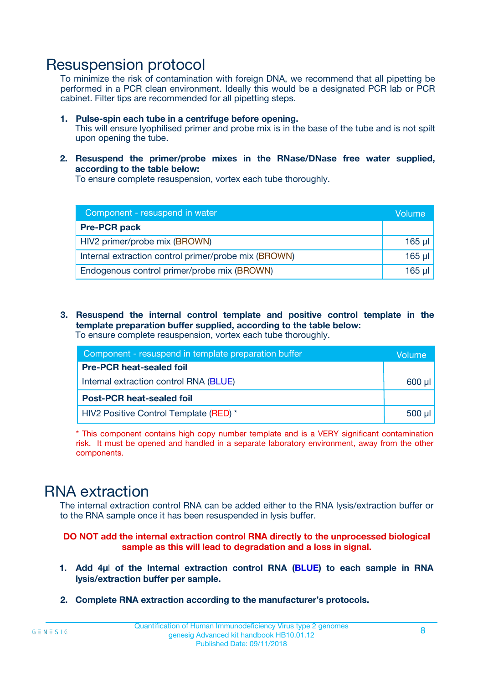### Resuspension protocol

To minimize the risk of contamination with foreign DNA, we recommend that all pipetting be performed in a PCR clean environment. Ideally this would be a designated PCR lab or PCR cabinet. Filter tips are recommended for all pipetting steps.

- **1. Pulse-spin each tube in a centrifuge before opening.** This will ensure lyophilised primer and probe mix is in the base of the tube and is not spilt upon opening the tube.
- **2. Resuspend the primer/probe mixes in the RNase/DNase free water supplied, according to the table below:**

To ensure complete resuspension, vortex each tube thoroughly.

| Component - resuspend in water                       | Volume   |
|------------------------------------------------------|----------|
| <b>Pre-PCR pack</b>                                  |          |
| HIV2 primer/probe mix (BROWN)                        | $165$ µl |
| Internal extraction control primer/probe mix (BROWN) | $165$ µl |
| Endogenous control primer/probe mix (BROWN)          | 165 µl   |

**3. Resuspend the internal control template and positive control template in the template preparation buffer supplied, according to the table below:** To ensure complete resuspension, vortex each tube thoroughly.

| Component - resuspend in template preparation buffer |             |  |  |
|------------------------------------------------------|-------------|--|--|
| <b>Pre-PCR heat-sealed foil</b>                      |             |  |  |
| Internal extraction control RNA (BLUE)               |             |  |  |
| <b>Post-PCR heat-sealed foil</b>                     |             |  |  |
| HIV2 Positive Control Template (RED) *               | $500$ $\mu$ |  |  |

\* This component contains high copy number template and is a VERY significant contamination risk. It must be opened and handled in a separate laboratory environment, away from the other components.

# RNA extraction

The internal extraction control RNA can be added either to the RNA lysis/extraction buffer or to the RNA sample once it has been resuspended in lysis buffer.

#### **DO NOT add the internal extraction control RNA directly to the unprocessed biological sample as this will lead to degradation and a loss in signal.**

- **1. Add 4µ**l **of the Internal extraction control RNA (BLUE) to each sample in RNA lysis/extraction buffer per sample.**
- **2. Complete RNA extraction according to the manufacturer's protocols.**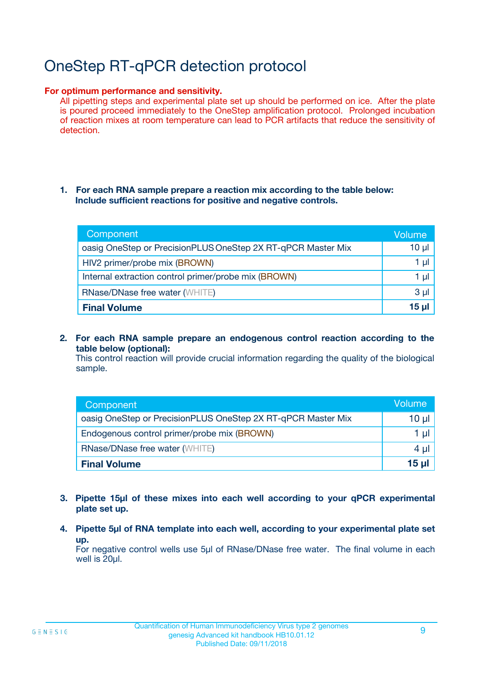# OneStep RT-qPCR detection protocol

#### **For optimum performance and sensitivity.**

All pipetting steps and experimental plate set up should be performed on ice. After the plate is poured proceed immediately to the OneStep amplification protocol. Prolonged incubation of reaction mixes at room temperature can lead to PCR artifacts that reduce the sensitivity of detection.

#### **1. For each RNA sample prepare a reaction mix according to the table below: Include sufficient reactions for positive and negative controls.**

| Component                                                    | <b>Volume</b> |
|--------------------------------------------------------------|---------------|
| oasig OneStep or PrecisionPLUS OneStep 2X RT-qPCR Master Mix | $10 \mu$      |
| HIV2 primer/probe mix (BROWN)                                | 1 µI          |
| Internal extraction control primer/probe mix (BROWN)         | 1 µI          |
| <b>RNase/DNase free water (WHITE)</b>                        | $3 \mu$       |
| <b>Final Volume</b>                                          | 15 µl         |

**2. For each RNA sample prepare an endogenous control reaction according to the table below (optional):**

This control reaction will provide crucial information regarding the quality of the biological sample.

| Component                                                    | Volume   |
|--------------------------------------------------------------|----------|
| oasig OneStep or PrecisionPLUS OneStep 2X RT-qPCR Master Mix | 10 $\mu$ |
| Endogenous control primer/probe mix (BROWN)                  | 1 ul     |
| <b>RNase/DNase free water (WHITE)</b>                        | $4 \mu$  |
| <b>Final Volume</b>                                          | 15 µl    |

- **3. Pipette 15µl of these mixes into each well according to your qPCR experimental plate set up.**
- **4. Pipette 5µl of RNA template into each well, according to your experimental plate set up.**

For negative control wells use 5µl of RNase/DNase free water. The final volume in each well is 20µl.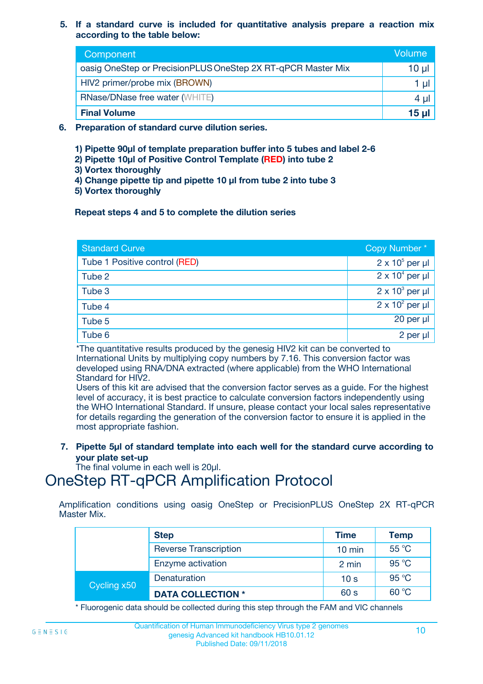#### **5. If a standard curve is included for quantitative analysis prepare a reaction mix according to the table below:**

| Component                                                    | Volume  |
|--------------------------------------------------------------|---------|
| oasig OneStep or PrecisionPLUS OneStep 2X RT-qPCR Master Mix | 10 µl   |
| HIV2 primer/probe mix (BROWN)                                |         |
| <b>RNase/DNase free water (WHITE)</b>                        | $4 \mu$ |
| <b>Final Volume</b>                                          | 15 ul   |

- **6. Preparation of standard curve dilution series.**
	- **1) Pipette 90µl of template preparation buffer into 5 tubes and label 2-6**
	- **2) Pipette 10µl of Positive Control Template (RED) into tube 2**
	- **3) Vortex thoroughly**
	- **4) Change pipette tip and pipette 10 µl from tube 2 into tube 3**
	- **5) Vortex thoroughly**

#### **Repeat steps 4 and 5 to complete the dilution series**

| <b>Standard Curve</b>         | Copy Number*           |
|-------------------------------|------------------------|
| Tube 1 Positive control (RED) | $2 \times 10^5$ per µl |
| Tube 2                        | $2 \times 10^4$ per µl |
| Tube 3                        | $2 \times 10^3$ per µl |
| Tube 4                        | $2 \times 10^2$ per µl |
| Tube 5                        | $20$ per $\mu$         |
| Tube 6                        | 2 per µl               |

\*The quantitative results produced by the genesig HIV2 kit can be converted to International Units by multiplying copy numbers by 7.16. This conversion factor was developed using RNA/DNA extracted (where applicable) from the WHO International Standard for HIV2.

Users of this kit are advised that the conversion factor serves as a guide. For the highest level of accuracy, it is best practice to calculate conversion factors independently using the WHO International Standard. If unsure, please contact your local sales representative for details regarding the generation of the conversion factor to ensure it is applied in the most appropriate fashion.

**7. Pipette 5µl of standard template into each well for the standard curve according to your plate set-up**

The final volume in each well is 20ul.

# OneStep RT-qPCR Amplification Protocol

Amplification conditions using oasig OneStep or PrecisionPLUS OneStep 2X RT-qPCR Master Mix.

|             | <b>Step</b>                  | <b>Time</b>      | <b>Temp</b> |
|-------------|------------------------------|------------------|-------------|
|             | <b>Reverse Transcription</b> | $10 \text{ min}$ | 55 °C       |
|             | Enzyme activation            | 2 min            | 95 °C       |
| Cycling x50 | Denaturation                 | 10 <sub>s</sub>  | 95 °C       |
|             | <b>DATA COLLECTION *</b>     | 60 s             | 60 °C       |

\* Fluorogenic data should be collected during this step through the FAM and VIC channels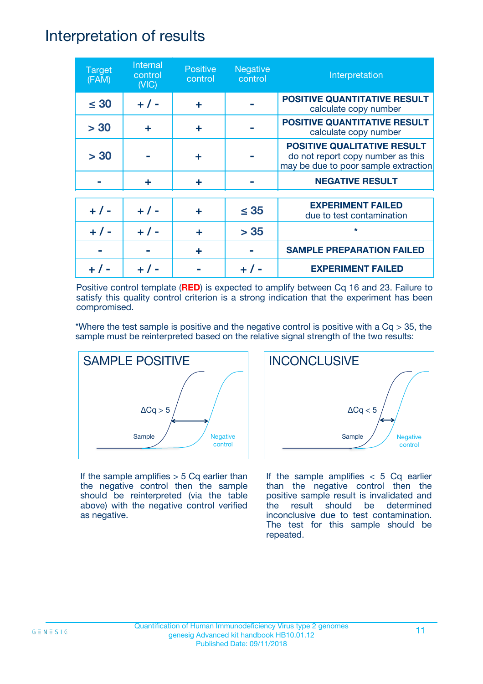### Interpretation of results

| <b>Target</b><br>(FAM) | Internal<br>control<br>(NIC) | <b>Positive</b><br>control | <b>Negative</b><br>control | Interpretation                                                                                                  |
|------------------------|------------------------------|----------------------------|----------------------------|-----------------------------------------------------------------------------------------------------------------|
| $\leq 30$              | $+ 1 -$                      | ÷                          |                            | <b>POSITIVE QUANTITATIVE RESULT</b><br>calculate copy number                                                    |
| > 30                   | ٠                            | ÷                          |                            | <b>POSITIVE QUANTITATIVE RESULT</b><br>calculate copy number                                                    |
| > 30                   |                              | ÷                          |                            | <b>POSITIVE QUALITATIVE RESULT</b><br>do not report copy number as this<br>may be due to poor sample extraction |
|                        | ÷                            | ÷                          |                            | <b>NEGATIVE RESULT</b>                                                                                          |
| $+ 1 -$                | $+ 1 -$                      | ÷                          | $\leq$ 35                  | <b>EXPERIMENT FAILED</b><br>due to test contamination                                                           |
| $+ 1 -$                | $+ 1 -$                      | ÷                          | > 35                       | $\star$                                                                                                         |
|                        |                              | ÷                          |                            | <b>SAMPLE PREPARATION FAILED</b>                                                                                |
|                        |                              |                            |                            | <b>EXPERIMENT FAILED</b>                                                                                        |

Positive control template (**RED**) is expected to amplify between Cq 16 and 23. Failure to satisfy this quality control criterion is a strong indication that the experiment has been compromised.

\*Where the test sample is positive and the negative control is positive with a  $Cq > 35$ , the sample must be reinterpreted based on the relative signal strength of the two results:



If the sample amplifies  $> 5$  Cq earlier than the negative control then the sample should be reinterpreted (via the table above) with the negative control verified as negative.



If the sample amplifies  $< 5$  Cq earlier than the negative control then the positive sample result is invalidated and the result should be determined inconclusive due to test contamination. The test for this sample should be repeated.